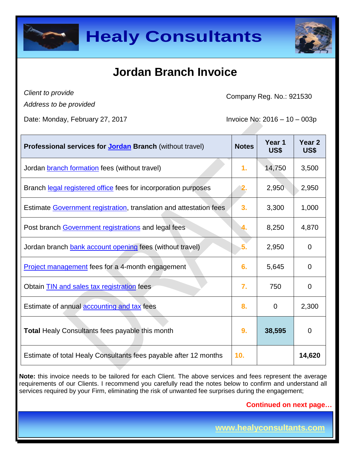



### **Jordan Branch Invoice**

*Client to provide*

Company Reg. No.: 921530

*Address to be provided*

Date: Monday, February 27, 2017 **Invoice No: 2016 – 10 – 003p** 

| Professional services for <b>Jordan Branch</b> (without travel)    | <b>Notes</b> | Year 1<br>US\$ | Year <sub>2</sub><br>US\$ |
|--------------------------------------------------------------------|--------------|----------------|---------------------------|
| Jordan branch formation fees (without travel)                      | 1.           | 14,750         | 3,500                     |
| Branch legal registered office fees for incorporation purposes     | 2.           | 2,950          | 2,950                     |
| Estimate Government registration, translation and attestation fees | 3.           | 3,300          | 1,000                     |
| Post branch Government registrations and legal fees                |              | 8,250          | 4,870                     |
| Jordan branch bank account opening fees (without travel)           | 5.           | 2,950          | $\mathbf 0$               |
| <b>Project management</b> fees for a 4-month engagement            | 6.           | 5,645          | $\Omega$                  |
| Obtain <b>TIN</b> and sales tax registration fees                  | 7.           | 750            | 0                         |
| Estimate of annual <b>accounting and tax</b> fees                  | 8.           | 0              | 2,300                     |
| <b>Total Healy Consultants fees payable this month</b>             | 9.           | 38,595         | $\mathbf 0$               |
| Estimate of total Healy Consultants fees payable after 12 months   | 10.          |                | 14,620                    |

**Note:** this invoice needs to be tailored for each Client. The above services and fees represent the average requirements of our Clients. I recommend you carefully read the notes below to confirm and understand all services required by your Firm, eliminating the risk of unwanted fee surprises during the engagement;

**Continued on next page…**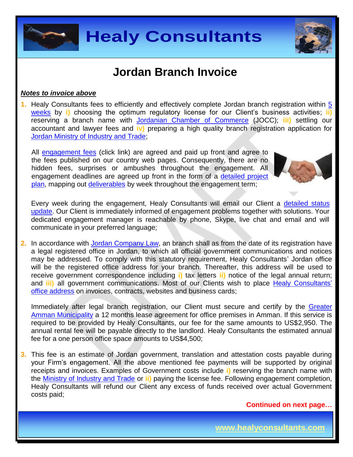



### **Jordan Branch Invoice**

#### *Notes to invoice above*

**1.** Healy Consultants fees to efficiently and effectively complete Jordan branch registration within [5](http://www.healyconsultants.com/jordan-company-registration/fees-timelines/#timelines)  [weeks](http://www.healyconsultants.com/jordan-company-registration/fees-timelines/#timelines) by **i)** choosing the optimum regulatory license for our Client's business activities; **ii)** reserving a branch name with [Jordanian Chamber of Commerce](http://www.jocc.org.jo/index_en.php) (JOCC); **iii)** settling our accountant and lawyer fees and **iv)** preparing a high quality branch registration application for [Jordan Ministry of Industry and Trade;](http://www.mit.gov.jo/EN/Pages/UnderConstruction.aspx)

All [engagement fees](http://www.healyconsultants.com/company-registration-fees/) (click link) are agreed and paid up front and agree to the fees published on our country web pages. Consequently, there are no hidden fees, surprises or ambushes throughout the engagement. All engagement deadlines are agreed up front in the form of a [detailed project](http://www.healyconsultants.com/index-important-links/example-project-plan/)  [plan,](http://www.healyconsultants.com/index-important-links/example-project-plan/) mapping out [deliverables](http://www.healyconsultants.com/deliverables-to-our-clients/) by week throughout the engagement term;



Every week during the engagement, Healy Consultants will email our Client a [detailed status](http://www.healyconsultants.com/index-important-links/weekly-engagement-status-email/)  [update.](http://www.healyconsultants.com/index-important-links/weekly-engagement-status-email/) Our Client is immediately informed of engagement problems together with solutions. Your dedicated engagement manager is reachable by phone, Skype, live chat and email and will communicate in your preferred language;

**2.** In accordance with Jordan [Company Law,](https://www.sdc.com.jo/english/index.php?option=com_content&task=view&id=227&Itemid=63) an branch shall as from the date of its registration have a legal registered office in Jordan, to which all official government communications and notices may be addressed. To comply with this statutory requirement, Healy Consultants' Jordan office will be the registered office address for your branch. Thereafter, this address will be used to receive government correspondence including **i)** tax letters **ii)** notice of the legal annual return; and **iii)** all government communications. Most of our Clients wish to place [Healy Consultants'](http://www.healyconsultants.com/corporate-outsourcing-services/company-secretary-and-legal-registered-office/) [office address](http://www.healyconsultants.com/corporate-outsourcing-services/company-secretary-and-legal-registered-office/) on invoices, contracts, websites and business cards;

Immediately after legal branch registration, our Client must secure and certify by the Greater [Amman Municipality](http://www.ammancity.gov.jo/en/gam/index.asp) a 12 months lease agreement for office premises in Amman. If this service is required to be provided by Healy Consultants, our fee for the same amounts to US\$2,950. The annual rental fee will be payable directly to the landlord. Healy Consultants the estimated annual fee for a one person office space amounts to US\$4,500;

**3.** This fee is an estimate of Jordan government, translation and attestation costs payable during your Firm's engagement. All the above mentioned fee payments will be supported by original receipts and invoices. Examples of Government costs include **i)** reserving the branch name with the [Ministry of Industry and Trade](https://www.mit.gov.jo/) or **ii)** paying the license fee. Following engagement completion, Healy Consultants will refund our Client any excess of funds received over actual Government costs paid;

**Continued on next page…**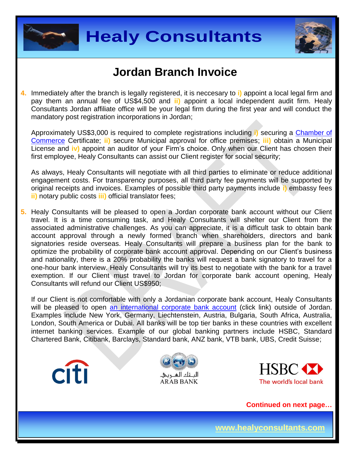



#### **Jordan Branch Invoice**

**4.** Immediately after the branch is legally registered, it is neccesary to **i)** appoint a local legal firm and pay them an annual fee of US\$4,500 and **ii)** appoint a local independent audit firm. Healy Consultants Jordan affiliate office will be your legal firm during the first year and will conduct the mandatory post registration incorporations in Jordan;

Approximately US\$3,000 is required to complete registrations including **i)** securing a [Chamber of](http://www.jocc.org.jo/index_en.php)  [Commerce](http://www.jocc.org.jo/index_en.php) Certificate; **ii)** secure Municipal approval for office premises; **iii)** obtain a Municipal License and **iv)** appoint an auditor of your Firm's choice. Only when our Client has chosen their first employee, Healy Consultants can assist our Client register for social security;

As always, Healy Consultants will negotiate with all third parties to eliminate or reduce additional engagement costs. For transparency purposes, all third party fee payments will be supported by original receipts and invoices. Examples of possible third party payments include **i)** embassy fees **ii)** notary public costs **iii)** official translator fees;

**5.** Healy Consultants will be pleased to open a Jordan corporate bank account without our Client travel. It is a time consuming task, and Healy Consultants will shelter our Client from the associated administrative challenges. As you can appreciate, it is a difficult task to obtain bank account approval through a newly formed branch when shareholders, directors and bank signatories reside overseas. Healy Consultants will prepare a business plan for the bank to optimize the probability of corporate bank account approval. Depending on our Client's business and nationality, there is a 20% probability the banks will request a bank signatory to travel for a one-hour bank interview. Healy Consultants will try its best to negotiate with the bank for a travel exemption. If our Client must travel to Jordan for corporate bank account opening, Healy Consultants will refund our Client US\$950;

If our Client is not comfortable with only a Jordanian corporate bank account, Healy Consultants will be pleased to open [an international corporate bank account](http://www.healyconsultants.com/international-banking/) (click link) outside of Jordan. Examples include New York, Germany, Liechtenstein, Austria, Bulgaria, South Africa, Australia, London, South America or Dubai. All banks will be top tier banks in these countries with excellent internet banking services. Example of our global banking partners include HSBC, Standard Chartered Bank, Citibank, Barclays, Standard bank, ANZ bank, VTB bank, UBS, Credit Suisse;







**Continued on next page…**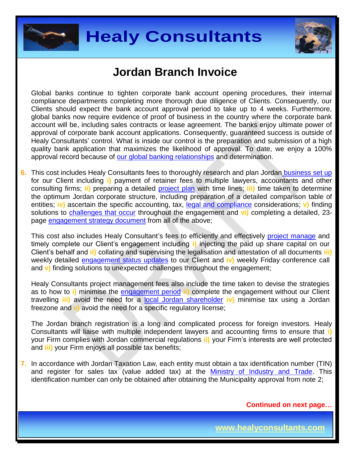



### **Jordan Branch Invoice**

Global banks continue to tighten corporate bank account opening procedures, their internal compliance departments completing more thorough due diligence of Clients. Consequently, our Clients should expect the bank account approval period to take up to 4 weeks. Furthermore, global banks now require evidence of proof of business in the country where the corporate bank account will be, including sales contracts or lease agreement. The banks enjoy ultimate power of approval of corporate bank account applications. Consequently, guaranteed success is outside of Healy Consultants' control. What is inside our control is the preparation and submission of a high quality bank application that maximizes the likelihood of approval. To date, we enjoy a 100% approval record because of [our global banking relationships](http://www.healyconsultants.com/international-banking/corporate-accounts/) and determination.

**6.** This cost includes Healy Consultants fees to thoroughly research and plan Jordan [business set up](http://www.healyconsultants.com/jordan-company-registration/) for our Client including **i)** payment of retainer fees to multiple lawyers, accountants and other consulting firms; **ii)** preparing a detailed [project plan](http://www.healyconsultants.com/index-important-links/example-project-plan/) with time lines; **iii)** time taken to determine the optimum Jordan corporate structure, including preparation of a detailed comparison table of entities; **iv)** ascertain the specific accounting, tax, [legal and compliance](http://www.healyconsultants.com/about-us/key-personnel/cai-xin-profile/) considerations; v) finding solutions to [challenges that occur](http://www.healyconsultants.com/engagement-project-management/) throughout the engagement and **vi)** completing a detailed, 23 page [engagement strategy document](http://www.healyconsultants.com/engagement-strategy/) from all of the above;

This cost also includes Healy Consultant's fees to efficiently and effectively [project manage](http://www.healyconsultants.com/project-manage-engagements/) and timely complete our Client's engagement including **i)** injecting the paid up share capital on our Client's behalf and **ii)** collating and supervising the legalisation and attestation of all documents **iii)**  weekly detailed [engagement status updates](http://www.healyconsultants.com/index-important-links/weekly-engagement-status-email/) to our Client and **iv)** weekly Friday conference call and **v)** finding solutions to unexpected challenges throughout the engagement;

Healy Consultants project management fees also include the time taken to devise the strategies as to how to **i)** minimise the [engagement period](http://www.healyconsultants.com/jordan-company-registration/fees-timelines/) **ii)** complete the engagement without our Client travelling **iii)** avoid the need for a [local Jordan](http://www.healyconsultants.com/national-shareholder-services/) shareholder **iv)** minimise tax using a Jordan freezone and **v)** avoid the need for a specific regulatory license;

The Jordan branch registration is a long and complicated process for foreign investors. Healy Consultants will liaise with multiple independent lawyers and accounting firms to ensure that **i)** your Firm complies with Jordan commercial regulations **ii)** your Firm's interests are well protected and **iii)** your Firm enjoys all possible tax benefits;

**7.** In accordance with Jordan Taxation Law, each entity must obtain a tax identification number (TIN) and register for sales tax (value added tax) at the [Ministry of Industry and Trade.](https://www.mit.gov.jo/) This identification number can only be obtained after obtaining the Municipality approval from note 2;

**Continued on next page…**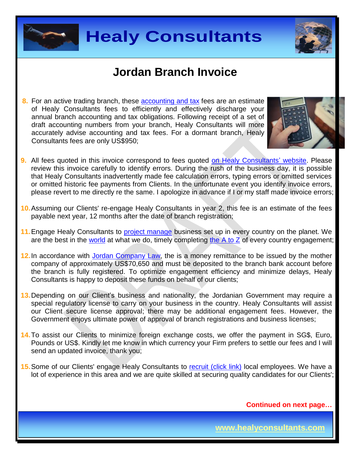



#### **Jordan Branch Invoice**

**8.** For an active trading branch, these **accounting and tax** fees are an estimate of Healy Consultants fees to efficiently and effectively discharge your annual branch accounting and tax obligations. Following receipt of a set of draft accounting numbers from your branch, Healy Consultants will more accurately advise accounting and tax fees. For a dormant branch, Healy Consultants fees are only US\$950;



- **9.** All fees quoted in this invoice correspond to fees quoted [on Healy Consultants' website.](http://www.healyconsultants.com/company-registration-fees/) Please review this invoice carefully to identify errors. During the rush of the business day, it is possible that Healy Consultants inadvertently made fee calculation errors, typing errors or omitted services or omitted historic fee payments from Clients. In the unfortunate event you identify invoice errors, please revert to me directly re the same. I apologize in advance if I or my staff made invoice errors;
- **10.**Assuming our Clients' re-engage Healy Consultants in year 2, this fee is an estimate of the fees payable next year, 12 months after the date of branch registration;
- **11.**Engage Healy Consultants to [project manage](http://www.healyconsultants.com/project-manage-engagements/) business set up in every country on the planet. We are the best in the [world](http://www.healyconsultants.com/best-in-the-world/) at what we do, timely completing the  $A$  to  $Z$  of every country engagement;
- 12. In accordance with [Jordan Company Law,](https://www.sdc.com.jo/english/index.php?option=com_content&task=view&id=227&Itemid=63) the is a money remittance to be issued by the mother company of approximately US\$70,650 and must be deposited to the branch bank account before the branch is fully registered. To optimize engagement efficiency and minimize delays, Healy Consultants is happy to deposit these funds on behalf of our clients;
- **13.**Depending on our Client's business and nationality, the Jordanian Government may require a special regulatory license to carry on your business in the country. Healy Consultants will assist our Client secure license approval; there may be additional engagement fees. However, the Government enjoys ultimate power of approval of branch registrations and business licenses;
- **14.**To assist our Clients to minimize foreign exchange costs, we offer the payment in SG\$, Euro, Pounds or US\$. Kindly let me know in which currency your Firm prefers to settle our fees and I will send an updated invoice, thank you;
- **15.** Some of our Clients' engage Healy Consultants to [recruit \(click link\)](http://www.healyconsultants.com/corporate-outsourcing-services/how-we-help-our-clients-recruit-quality-employees/) local employees. We have a lot of experience in this area and we are quite skilled at securing quality candidates for our Clients';

**Continued on next page…**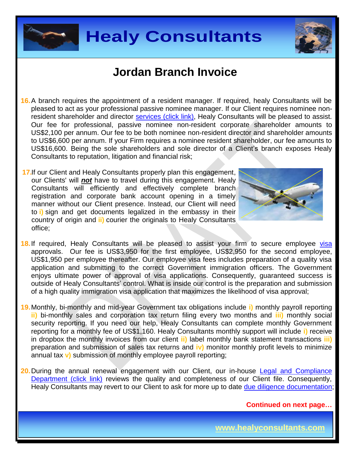



### **Jordan Branch Invoice**

- **16.**A branch requires the appointment of a resident manager. If required, healy Consultants will be pleased to act as your professional passive nominee manager. If our Client requires nominee non-resident shareholder and director services [\(click link\),](http://www.healyconsultants.com/corporate-outsourcing-services/nominee-shareholders-directors/) Healy Consultants will be pleased to assist. Our fee for professional, passive nominee non-resident corporate shareholder amounts to US\$2,100 per annum. Our fee to be both nominee non-resident director and shareholder amounts to US\$6,600 per annum. If your Firm requires a nominee resident shareholder, our fee amounts to US\$16,600. Being the sole shareholders and sole director of a Client's branch exposes Healy Consultants to reputation, litigation and financial risk;
- **17.**If our Client and Healy Consultants properly plan this engagement, our Clients' will *not* have to travel during this engagement. Healy Consultants will efficiently and effectively complete branch registration and corporate bank account opening in a timely manner without our Client presence. Instead, our Client will need to **i)** sign and get documents legalized in the embassy in their country of origin and **ii)** courier the originals to Healy Consultants office;



- 18. If required, Healy Consultants will be pleased to assist your firm to secure employee [visa](http://www.healyconsultants.com/jordan-company-registration/formation-support-services/#visas) approvals. Our fee is US\$3,950 for the first employee, US\$2,950 for the second employee, US\$1,950 per employee thereafter. Our employee visa fees includes preparation of a quality visa application and submitting to the correct Government immigration officers. The Government enjoys ultimate power of approval of visa applications. Consequently, guaranteed success is outside of Healy Consultants' control. What is inside our control is the preparation and submission of a high quality immigration visa application that maximizes the likelihood of visa approval;
- **19.**Monthly, bi-monthly and mid-year Government tax obligations include **i)** monthly payroll reporting **ii)** bi-monthly sales and corporation tax return filing every two months and **iii)** monthly social security reporting. If you need our help, Healy Consultants can complete monthly Government reporting for a monthly fee of US\$1,160. Healy Consultants monthly support will include **i)** receive in dropbox the monthly invoices from our client **ii)** label monthly bank statement transactions **iii)** preparation and submission of sales tax returns and **iv)** monitor monthly profit levels to minimize annual tax **v)** submission of monthly employee payroll reporting;
- **20.** During the annual renewal engagement with our Client, our in-house Legal and Compliance [Department \(click link\)](http://www.healyconsultants.com/about-us/key-personnel/cai-xin-profile/) reviews the quality and completeness of our Client file. Consequently, Healy Consultants may revert to our Client to ask for more up to date [due diligence documentation;](http://www.healyconsultants.com/due-diligence/)

**Continued on next page…**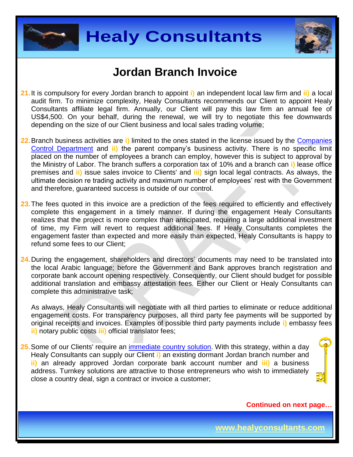



#### **Jordan Branch Invoice**

- **21.**It is compulsory for every Jordan branch to appoint **i)** an independent local law firm and **ii)** a local audit firm. To minimize complexity, Healy Consultants recommends our Client to appoint Healy Consultants affiliate legal firm. Annually, our Client will pay this law firm an annual fee of US\$4,500. On your behalf, during the renewal, we will try to negotiate this fee downwards depending on the size of our Client business and local sales trading volume;
- **22.**Branch business activities are **i)** limited to the ones stated in the license issued by the [Companies](http://www.ccd.gov.jo/en)  [Control Department](http://www.ccd.gov.jo/en) and **ii)** the parent company's business activity. There is no specific limit placed on the number of employees a branch can employ, however this is subject to approval by the Ministry of Labor. The branch suffers a corporation tax of 10% and a branch can **i)** lease office premises and **ii)** issue sales invoice to Clients' and **iii)** sign local legal contracts. As always, the ultimate decision re trading activity and maximum number of employees' rest with the Government and therefore, guaranteed success is outside of our control.
- 23. The fees quoted in this invoice are a prediction of the fees required to efficiently and effectively complete this engagement in a timely manner. If during the engagement Healy Consultants realizes that the project is more complex than anticipated, requiring a large additional investment of time, my Firm will revert to request additional fees. If Healy Consultants completes the engagement faster than expected and more easily than expected, Healy Consultants is happy to refund some fees to our Client;
- **24.**During the engagement, shareholders and directors' documents may need to be translated into the local Arabic language; before the Government and Bank approves branch registration and corporate bank account opening respectively. Consequently, our Client should budget for possible additional translation and embassy attestation fees. Either our Client or Healy Consultants can complete this administrative task;

As always, Healy Consultants will negotiate with all third parties to eliminate or reduce additional engagement costs. For transparency purposes, all third party fee payments will be supported by original receipts and invoices. Examples of possible third party payments include **i)** embassy fees **ii)** notary public costs **iii)** official translator fees;

**25.**Some of our Clients' require an [immediate country](http://www.healyconsultants.com/turnkey-solutions/) solution. With this strategy, within a day Healy Consultants can supply our Client **i)** an existing dormant Jordan branch number and **ii)** an already approved Jordan corporate bank account number and **iii)** a business address. Turnkey solutions are attractive to those entrepreneurs who wish to immediately close a country deal, sign a contract or invoice a customer;

**Continued on next page…**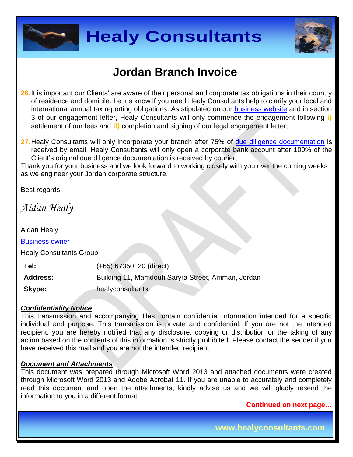



### **Jordan Branch Invoice**

**26.**It is important our Clients' are aware of their personal and corporate tax obligations in their country of residence and domicile. Let us know if you need Healy Consultants help to clarify your local and international annual tax reporting obligations. As stipulated on our [business website](http://www.healyconsultants.com/) and in section 3 of our engagement letter, Healy Consultants will only commence the engagement following **i)** settlement of our fees and **ii)** completion and signing of our legal engagement letter;

**27.**Healy Consultants will only incorporate your branch after 75% of [due diligence documentation](http://www.healyconsultants.com/due-diligence/) is received by email. Healy Consultants will only open a corporate bank account after 100% of the Client's original due diligence documentation is received by courier;

Thank you for your business and we look forward to working closely with you over the coming weeks as we engineer your Jordan corporate structure.

Best regards,

*Aidan Healy*

Aidan Healy

[Business owner](http://www.healyconsultants.com/about-us/key-personnel/aidan-healy-profile/)

Healy Consultants Group

\_\_\_\_\_\_\_\_\_\_\_\_\_\_\_\_\_\_\_\_\_\_\_\_\_\_\_\_\_\_

**Tel:** (+65) 67350120 (direct) **Address:** Building 11, Mamdouh Saryra Street, Amman, Jordan **Skype:** healyconsultants

#### *Confidentiality Notice*

This transmission and accompanying files contain confidential information intended for a specific individual and purpose. This transmission is private and confidential. If you are not the intended recipient, you are hereby notified that any disclosure, copying or distribution or the taking of any action based on the contents of this information is strictly prohibited. Please contact the sender if you have received this mail and you are not the intended recipient.

#### *Document and Attachments*

This document was prepared through Microsoft Word 2013 and attached documents were created through Microsoft Word 2013 and Adobe Acrobat 11. If you are unable to accurately and completely read this document and open the attachments, kindly advise us and we will gladly resend the information to you in a different format.

**Continued on next page…**